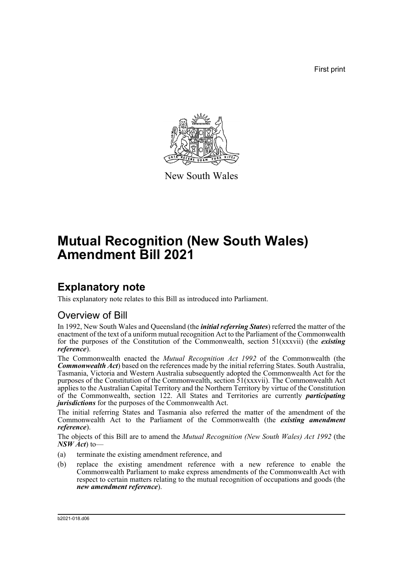First print



New South Wales

# **Mutual Recognition (New South Wales) Amendment Bill 2021**

### **Explanatory note**

This explanatory note relates to this Bill as introduced into Parliament.

#### Overview of Bill

In 1992, New South Wales and Queensland (the *initial referring States*) referred the matter of the enactment of the text of a uniform mutual recognition Act to the Parliament of the Commonwealth for the purposes of the Constitution of the Commonwealth, section 51(xxxvii) (the *existing reference*).

The Commonwealth enacted the *Mutual Recognition Act 1992* of the Commonwealth (the *Commonwealth Act*) based on the references made by the initial referring States. South Australia, Tasmania, Victoria and Western Australia subsequently adopted the Commonwealth Act for the purposes of the Constitution of the Commonwealth, section 51(xxxvii). The Commonwealth Act applies to the Australian Capital Territory and the Northern Territory by virtue of the Constitution of the Commonwealth, section 122. All States and Territories are currently *participating jurisdictions* for the purposes of the Commonwealth Act.

The initial referring States and Tasmania also referred the matter of the amendment of the Commonwealth Act to the Parliament of the Commonwealth (the *existing amendment reference*).

The objects of this Bill are to amend the *Mutual Recognition (New South Wales) Act 1992* (the *NSW Act*) to—

- (a) terminate the existing amendment reference, and
- (b) replace the existing amendment reference with a new reference to enable the Commonwealth Parliament to make express amendments of the Commonwealth Act with respect to certain matters relating to the mutual recognition of occupations and goods (the *new amendment reference*).

b2021-018.d06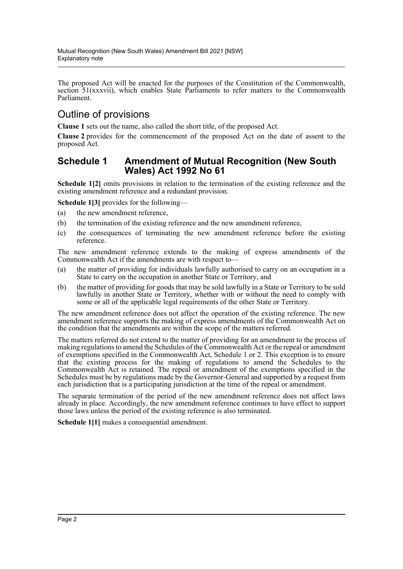The proposed Act will be enacted for the purposes of the Constitution of the Commonwealth, section 51(xxxvii), which enables State Parliaments to refer matters to the Commonwealth Parliament.

### Outline of provisions

**Clause 1** sets out the name, also called the short title, of the proposed Act.

**Clause 2** provides for the commencement of the proposed Act on the date of assent to the proposed Act.

#### **Schedule 1 Amendment of Mutual Recognition (New South Wales) Act 1992 No 61**

**Schedule 1[2]** omits provisions in relation to the termination of the existing reference and the existing amendment reference and a redundant provision.

**Schedule 1[3]** provides for the following—

- (a) the new amendment reference,
- (b) the termination of the existing reference and the new amendment reference,
- (c) the consequences of terminating the new amendment reference before the existing reference.

The new amendment reference extends to the making of express amendments of the Commonwealth Act if the amendments are with respect to—

- (a) the matter of providing for individuals lawfully authorised to carry on an occupation in a State to carry on the occupation in another State or Territory, and
- (b) the matter of providing for goods that may be sold lawfully in a State or Territory to be sold lawfully in another State or Territory, whether with or without the need to comply with some or all of the applicable legal requirements of the other State or Territory.

The new amendment reference does not affect the operation of the existing reference. The new amendment reference supports the making of express amendments of the Commonwealth Act on the condition that the amendments are within the scope of the matters referred.

The matters referred do not extend to the matter of providing for an amendment to the process of making regulations to amend the Schedules of the Commonwealth Act or the repeal or amendment of exemptions specified in the Commonwealth Act, Schedule 1 or 2. This exception is to ensure that the existing process for the making of regulations to amend the Schedules to the Commonwealth Act is retained. The repeal or amendment of the exemptions specified in the Schedules must be by regulations made by the Governor-General and supported by a request from each jurisdiction that is a participating jurisdiction at the time of the repeal or amendment.

The separate termination of the period of the new amendment reference does not affect laws already in place. Accordingly, the new amendment reference continues to have effect to support those laws unless the period of the existing reference is also terminated.

**Schedule 1[1]** makes a consequential amendment.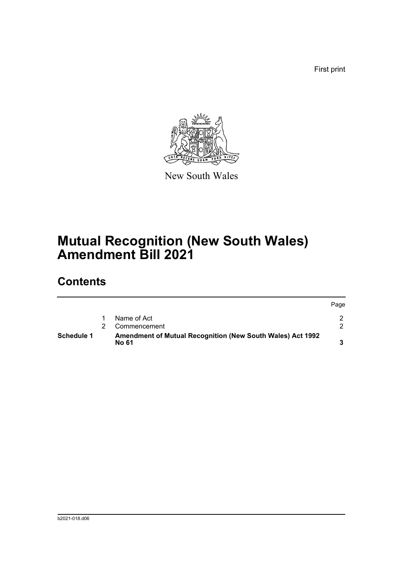First print



New South Wales

## **Mutual Recognition (New South Wales) Amendment Bill 2021**

### **Contents**

| <b>Schedule 1</b> | <b>Amendment of Mutual Recognition (New South Wales) Act 1992</b><br>No 61 |      |
|-------------------|----------------------------------------------------------------------------|------|
|                   | Commencement                                                               |      |
|                   | Name of Act                                                                |      |
|                   |                                                                            | Page |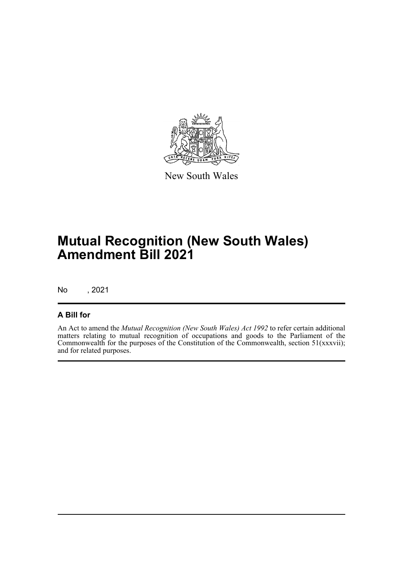

New South Wales

## **Mutual Recognition (New South Wales) Amendment Bill 2021**

No , 2021

#### **A Bill for**

An Act to amend the *Mutual Recognition (New South Wales) Act 1992* to refer certain additional matters relating to mutual recognition of occupations and goods to the Parliament of the Commonwealth for the purposes of the Constitution of the Commonwealth, section 51(xxxvii); and for related purposes.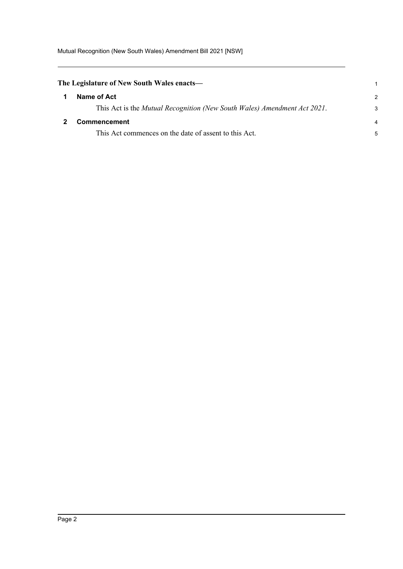<span id="page-4-1"></span><span id="page-4-0"></span>

| The Legislature of New South Wales enacts— |                                                                          |               |  |
|--------------------------------------------|--------------------------------------------------------------------------|---------------|--|
|                                            | Name of Act                                                              | $\mathcal{P}$ |  |
|                                            | This Act is the Mutual Recognition (New South Wales) Amendment Act 2021. | 3             |  |
|                                            | <b>Commencement</b>                                                      | 4             |  |
|                                            | This Act commences on the date of assent to this Act.                    | 5             |  |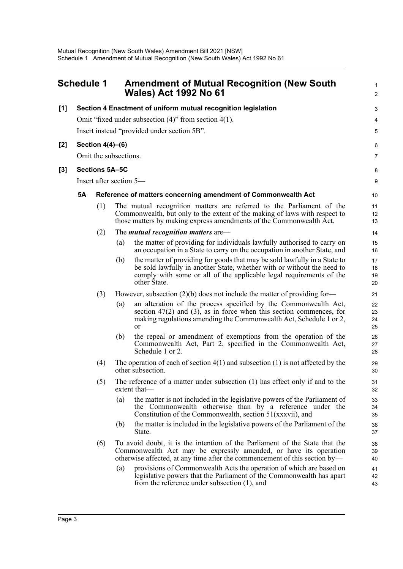<span id="page-5-0"></span>

|       | <b>Schedule 1</b>                                          |                  |     | <b>Amendment of Mutual Recognition (New South</b><br><b>Wales) Act 1992 No 61</b>                                                                                                                                                          | $\mathbf{1}$<br>2    |  |  |  |
|-------|------------------------------------------------------------|------------------|-----|--------------------------------------------------------------------------------------------------------------------------------------------------------------------------------------------------------------------------------------------|----------------------|--|--|--|
| [1]   |                                                            |                  |     | Section 4 Enactment of uniform mutual recognition legislation                                                                                                                                                                              | $\sqrt{3}$           |  |  |  |
|       | Omit "fixed under subsection $(4)$ " from section $4(1)$ . |                  |     |                                                                                                                                                                                                                                            |                      |  |  |  |
|       | Insert instead "provided under section 5B".                |                  |     |                                                                                                                                                                                                                                            |                      |  |  |  |
| $[2]$ |                                                            | Section 4(4)-(6) |     |                                                                                                                                                                                                                                            | 6                    |  |  |  |
|       | Omit the subsections.                                      |                  |     |                                                                                                                                                                                                                                            |                      |  |  |  |
| [3]   |                                                            | Sections 5A-5C   |     |                                                                                                                                                                                                                                            | 8                    |  |  |  |
|       | Insert after section 5-                                    |                  |     |                                                                                                                                                                                                                                            |                      |  |  |  |
|       | <b>5A</b>                                                  |                  |     | Reference of matters concerning amendment of Commonwealth Act                                                                                                                                                                              | 10                   |  |  |  |
|       |                                                            | (1)              |     | The mutual recognition matters are referred to the Parliament of the<br>Commonwealth, but only to the extent of the making of laws with respect to<br>those matters by making express amendments of the Commonwealth Act.                  | 11<br>12<br>13       |  |  |  |
|       |                                                            | (2)              |     | The <i>mutual recognition matters</i> are—                                                                                                                                                                                                 | 14                   |  |  |  |
|       |                                                            |                  | (a) | the matter of providing for individuals lawfully authorised to carry on<br>an occupation in a State to carry on the occupation in another State, and                                                                                       | 15<br>16             |  |  |  |
|       |                                                            |                  | (b) | the matter of providing for goods that may be sold lawfully in a State to<br>be sold lawfully in another State, whether with or without the need to<br>comply with some or all of the applicable legal requirements of the<br>other State. | 17<br>18<br>19<br>20 |  |  |  |
|       |                                                            | (3)              |     | However, subsection $(2)(b)$ does not include the matter of providing for-                                                                                                                                                                 | 21                   |  |  |  |
|       |                                                            |                  | (a) | an alteration of the process specified by the Commonwealth Act,<br>section $47(2)$ and (3), as in force when this section commences, for<br>making regulations amending the Commonwealth Act, Schedule 1 or 2,<br>or                       | 22<br>23<br>24<br>25 |  |  |  |
|       |                                                            |                  | (b) | the repeal or amendment of exemptions from the operation of the<br>Commonwealth Act, Part 2, specified in the Commonwealth Act,<br>Schedule 1 or 2.                                                                                        | 26<br>27<br>28       |  |  |  |
|       |                                                            | (4)              |     | The operation of each of section $4(1)$ and subsection $(1)$ is not affected by the<br>other subsection.                                                                                                                                   | 29<br>30             |  |  |  |
|       |                                                            | (5)              |     | The reference of a matter under subsection (1) has effect only if and to the<br>extent that-                                                                                                                                               | 31<br>32             |  |  |  |
|       |                                                            |                  | (a) | the matter is not included in the legislative powers of the Parliament of<br>the Commonwealth otherwise than by a reference under the<br>Constitution of the Commonwealth, section 51(xxxvii), and                                         | 33<br>34<br>35       |  |  |  |
|       |                                                            |                  | (b) | the matter is included in the legislative powers of the Parliament of the<br>State.                                                                                                                                                        | 36<br>37             |  |  |  |
|       |                                                            | (6)              |     | To avoid doubt, it is the intention of the Parliament of the State that the<br>Commonwealth Act may be expressly amended, or have its operation<br>otherwise affected, at any time after the commencement of this section by—              | 38<br>39<br>40       |  |  |  |
|       |                                                            |                  | (a) | provisions of Commonwealth Acts the operation of which are based on<br>legislative powers that the Parliament of the Commonwealth has apart<br>from the reference under subsection $(1)$ , and                                             | 41<br>42<br>43       |  |  |  |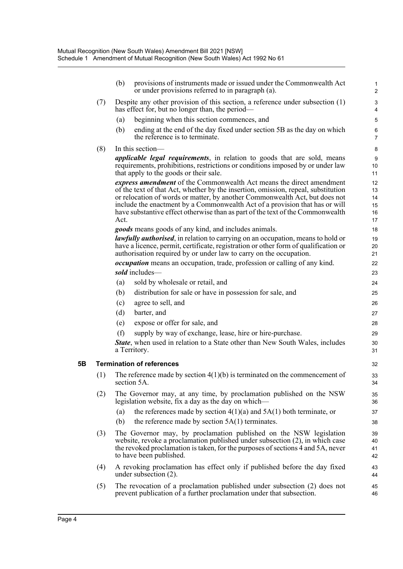|    |     | (b)                                                                                                                                                                                                                                                                                                                                                                                                               | provisions of instruments made or issued under the Commonwealth Act<br>or under provisions referred to in paragraph (a).                         | $\mathbf{1}$<br>$\boldsymbol{2}$ |  |  |
|----|-----|-------------------------------------------------------------------------------------------------------------------------------------------------------------------------------------------------------------------------------------------------------------------------------------------------------------------------------------------------------------------------------------------------------------------|--------------------------------------------------------------------------------------------------------------------------------------------------|----------------------------------|--|--|
|    | (7) |                                                                                                                                                                                                                                                                                                                                                                                                                   | Despite any other provision of this section, a reference under subsection $(1)$<br>has effect for, but no longer than, the period—               | $\ensuremath{\mathsf{3}}$<br>4   |  |  |
|    |     | (a)                                                                                                                                                                                                                                                                                                                                                                                                               | beginning when this section commences, and                                                                                                       | 5                                |  |  |
|    |     | (b)                                                                                                                                                                                                                                                                                                                                                                                                               | ending at the end of the day fixed under section 5B as the day on which<br>the reference is to terminate.                                        | 6<br>7                           |  |  |
|    | (8) | In this section—                                                                                                                                                                                                                                                                                                                                                                                                  |                                                                                                                                                  |                                  |  |  |
|    |     | <i>applicable legal requirements</i> , in relation to goods that are sold, means<br>requirements, prohibitions, restrictions or conditions imposed by or under law<br>that apply to the goods or their sale.                                                                                                                                                                                                      |                                                                                                                                                  |                                  |  |  |
|    |     | express amendment of the Commonwealth Act means the direct amendment<br>of the text of that Act, whether by the insertion, omission, repeal, substitution<br>or relocation of words or matter, by another Commonwealth Act, but does not<br>include the enactment by a Commonwealth Act of a provision that has or will<br>have substantive effect otherwise than as part of the text of the Commonwealth<br>Act. |                                                                                                                                                  |                                  |  |  |
|    |     | <i>goods</i> means goods of any kind, and includes animals.                                                                                                                                                                                                                                                                                                                                                       |                                                                                                                                                  |                                  |  |  |
|    |     | lawfully authorised, in relation to carrying on an occupation, means to hold or<br>have a licence, permit, certificate, registration or other form of qualification or<br>authorisation required by or under law to carry on the occupation.                                                                                                                                                                      |                                                                                                                                                  | 19<br>20<br>21                   |  |  |
|    |     | <i>occupation</i> means an occupation, trade, profession or calling of any kind.                                                                                                                                                                                                                                                                                                                                  |                                                                                                                                                  |                                  |  |  |
|    |     |                                                                                                                                                                                                                                                                                                                                                                                                                   | sold includes-                                                                                                                                   |                                  |  |  |
|    |     | (a)                                                                                                                                                                                                                                                                                                                                                                                                               | sold by wholesale or retail, and                                                                                                                 | 24                               |  |  |
|    |     | (b)                                                                                                                                                                                                                                                                                                                                                                                                               | distribution for sale or have in possession for sale, and                                                                                        | 25                               |  |  |
|    |     | (c)                                                                                                                                                                                                                                                                                                                                                                                                               | agree to sell, and                                                                                                                               | 26                               |  |  |
|    |     | (d)                                                                                                                                                                                                                                                                                                                                                                                                               | barter, and                                                                                                                                      | 27                               |  |  |
|    |     | (e)                                                                                                                                                                                                                                                                                                                                                                                                               | expose or offer for sale, and                                                                                                                    | 28                               |  |  |
|    |     | (f)                                                                                                                                                                                                                                                                                                                                                                                                               | supply by way of exchange, lease, hire or hire-purchase.                                                                                         | 29                               |  |  |
|    |     |                                                                                                                                                                                                                                                                                                                                                                                                                   | <b>State</b> , when used in relation to a State other than New South Wales, includes<br>a Territory.                                             | 30<br>31                         |  |  |
| 5Β |     |                                                                                                                                                                                                                                                                                                                                                                                                                   | <b>Termination of references</b>                                                                                                                 | 32                               |  |  |
|    | (1) | The reference made by section $4(1)(b)$ is terminated on the commencement of<br>section 5A.                                                                                                                                                                                                                                                                                                                       |                                                                                                                                                  |                                  |  |  |
|    | (2) | The Governor may, at any time, by proclamation published on the NSW<br>legislation website, fix a day as the day on which—                                                                                                                                                                                                                                                                                        |                                                                                                                                                  | 35<br>36                         |  |  |
|    |     | (a)                                                                                                                                                                                                                                                                                                                                                                                                               | the references made by section $4(1)(a)$ and $5A(1)$ both terminate, or                                                                          | 37                               |  |  |
|    |     | (b)                                                                                                                                                                                                                                                                                                                                                                                                               | the reference made by section $5A(1)$ terminates.                                                                                                | 38                               |  |  |
|    | (3) | The Governor may, by proclamation published on the NSW legislation<br>website, revoke a proclamation published under subsection $(2)$ , in which case<br>the revoked proclamation is taken, for the purposes of sections 4 and 5A, never<br>to have been published.                                                                                                                                               |                                                                                                                                                  |                                  |  |  |
|    | (4) |                                                                                                                                                                                                                                                                                                                                                                                                                   | A revoking proclamation has effect only if published before the day fixed<br>under subsection $(2)$ .                                            | 43<br>44                         |  |  |
|    | (5) |                                                                                                                                                                                                                                                                                                                                                                                                                   | The revocation of a proclamation published under subsection (2) does not<br>prevent publication of a further proclamation under that subsection. | 45<br>46                         |  |  |